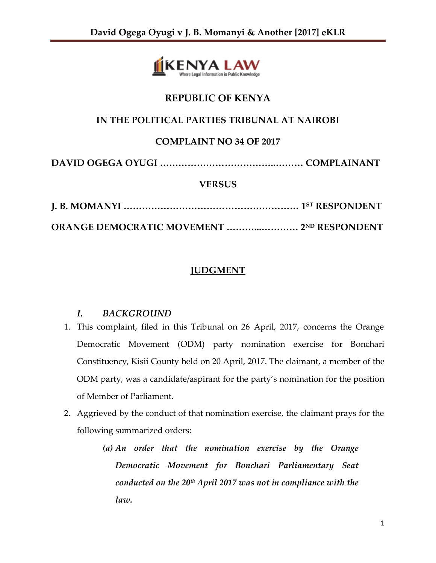

# **REPUBLIC OF KENYA**

## **IN THE POLITICAL PARTIES TRIBUNAL AT NAIROBI**

## **COMPLAINT NO 34 OF 2017**

**DAVID OGEGA OYUGI ………………………………..……… COMPLAINANT**

### **VERSUS**

**J. B. MOMANYI ………………………………………………… 1ST RESPONDENT**

**ORANGE DEMOCRATIC MOVEMENT ………...………… 2ND RESPONDENT**

## **JUDGMENT**

### *I. BACKGROUND*

- 1. This complaint, filed in this Tribunal on 26 April, 2017, concerns the Orange Democratic Movement (ODM) party nomination exercise for Bonchari Constituency, Kisii County held on 20 April, 2017. The claimant, a member of the ODM party, was a candidate/aspirant for the party's nomination for the position of Member of Parliament.
- 2. Aggrieved by the conduct of that nomination exercise, the claimant prays for the following summarized orders:
	- *(a) An order that the nomination exercise by the Orange Democratic Movement for Bonchari Parliamentary Seat conducted on the 20th April 2017 was not in compliance with the law.*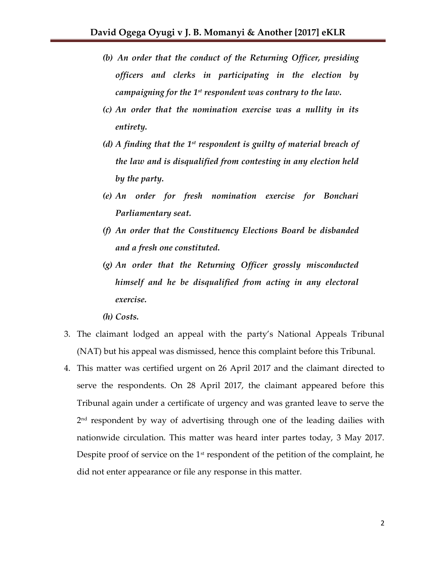- *(b) An order that the conduct of the Returning Officer, presiding officers and clerks in participating in the election by campaigning for the 1st respondent was contrary to the law.*
- *(c) An order that the nomination exercise was a nullity in its entirety.*
- *(d) A finding that the 1st respondent is guilty of material breach of the law and is disqualified from contesting in any election held by the party.*
- *(e) An order for fresh nomination exercise for Bonchari Parliamentary seat.*
- *(f) An order that the Constituency Elections Board be disbanded and a fresh one constituted.*
- *(g) An order that the Returning Officer grossly misconducted himself and he be disqualified from acting in any electoral exercise.*
- *(h) Costs.*
- 3. The claimant lodged an appeal with the party's National Appeals Tribunal (NAT) but his appeal was dismissed, hence this complaint before this Tribunal.
- 4. This matter was certified urgent on 26 April 2017 and the claimant directed to serve the respondents. On 28 April 2017, the claimant appeared before this Tribunal again under a certificate of urgency and was granted leave to serve the 2 nd respondent by way of advertising through one of the leading dailies with nationwide circulation. This matter was heard inter partes today, 3 May 2017. Despite proof of service on the  $1<sup>st</sup>$  respondent of the petition of the complaint, he did not enter appearance or file any response in this matter.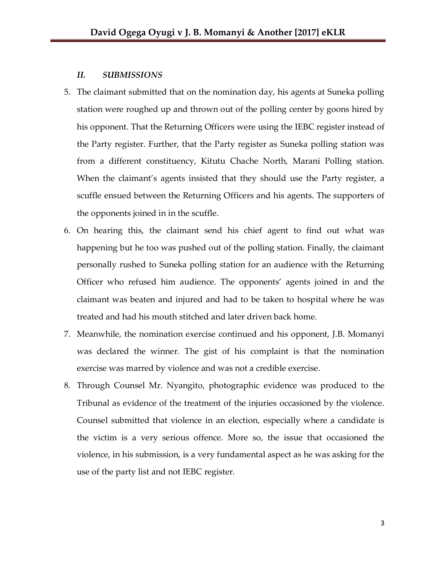#### *II. SUBMISSIONS*

- 5. The claimant submitted that on the nomination day, his agents at Suneka polling station were roughed up and thrown out of the polling center by goons hired by his opponent. That the Returning Officers were using the IEBC register instead of the Party register. Further, that the Party register as Suneka polling station was from a different constituency, Kitutu Chache North, Marani Polling station. When the claimant's agents insisted that they should use the Party register, a scuffle ensued between the Returning Officers and his agents. The supporters of the opponents joined in in the scuffle.
- 6. On hearing this, the claimant send his chief agent to find out what was happening but he too was pushed out of the polling station. Finally, the claimant personally rushed to Suneka polling station for an audience with the Returning Officer who refused him audience. The opponents' agents joined in and the claimant was beaten and injured and had to be taken to hospital where he was treated and had his mouth stitched and later driven back home.
- 7. Meanwhile, the nomination exercise continued and his opponent, J.B. Momanyi was declared the winner. The gist of his complaint is that the nomination exercise was marred by violence and was not a credible exercise.
- 8. Through Counsel Mr. Nyangito, photographic evidence was produced to the Tribunal as evidence of the treatment of the injuries occasioned by the violence. Counsel submitted that violence in an election, especially where a candidate is the victim is a very serious offence. More so, the issue that occasioned the violence, in his submission, is a very fundamental aspect as he was asking for the use of the party list and not IEBC register.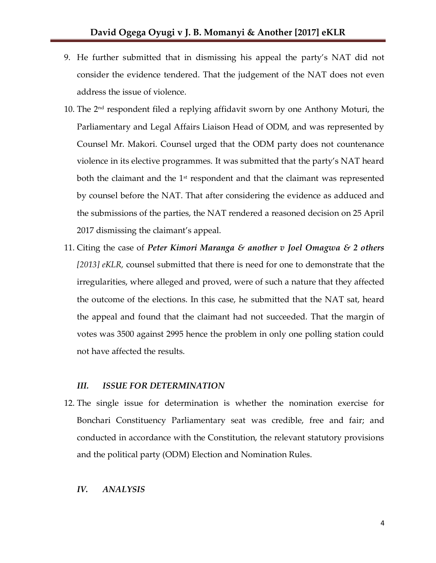- 9. He further submitted that in dismissing his appeal the party's NAT did not consider the evidence tendered. That the judgement of the NAT does not even address the issue of violence.
- 10. The 2nd respondent filed a replying affidavit sworn by one Anthony Moturi, the Parliamentary and Legal Affairs Liaison Head of ODM, and was represented by Counsel Mr. Makori. Counsel urged that the ODM party does not countenance violence in its elective programmes. It was submitted that the party's NAT heard both the claimant and the  $1<sup>st</sup>$  respondent and that the claimant was represented by counsel before the NAT. That after considering the evidence as adduced and the submissions of the parties, the NAT rendered a reasoned decision on 25 April 2017 dismissing the claimant's appeal.
- 11. Citing the case of *Peter Kimori Maranga & another v Joel Omagwa & 2 others [2013] eKLR,* counsel submitted that there is need for one to demonstrate that the irregularities, where alleged and proved, were of such a nature that they affected the outcome of the elections. In this case, he submitted that the NAT sat, heard the appeal and found that the claimant had not succeeded. That the margin of votes was 3500 against 2995 hence the problem in only one polling station could not have affected the results.

#### *III. ISSUE FOR DETERMINATION*

12. The single issue for determination is whether the nomination exercise for Bonchari Constituency Parliamentary seat was credible, free and fair; and conducted in accordance with the Constitution, the relevant statutory provisions and the political party (ODM) Election and Nomination Rules.

#### *IV. ANALYSIS*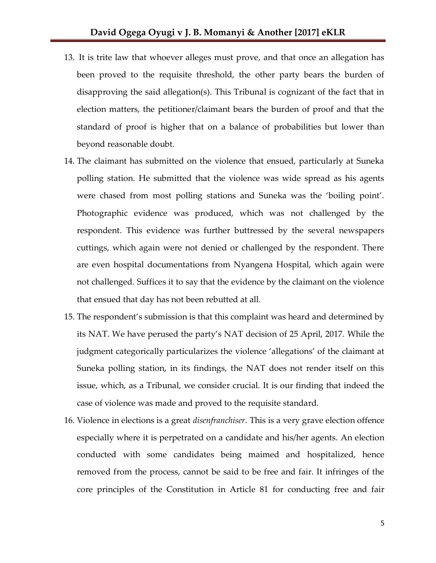- 13. It is trite law that whoever alleges must prove, and that once an allegation has been proved to the requisite threshold, the other party bears the burden of disapproving the said allegation(s). This Tribunal is cognizant of the fact that in election matters, the petitioner/claimant bears the burden of proof and that the standard of proof is higher that on a balance of probabilities but lower than beyond reasonable doubt.
- 14. The claimant has submitted on the violence that ensued, particularly at Suneka polling station. He submitted that the violence was wide spread as his agents were chased from most polling stations and Suneka was the 'boiling point'. Photographic evidence was produced, which was not challenged by the respondent. This evidence was further buttressed by the several newspapers cuttings, which again were not denied or challenged by the respondent. There are even hospital documentations from Nyangena Hospital, which again were not challenged. Suffices it to say that the evidence by the claimant on the violence that ensued that day has not been rebutted at all.
- 15. The respondent's submission is that this complaint was heard and determined by its NAT. We have perused the party's NAT decision of 25 April, 2017. While the judgment categorically particularizes the violence 'allegations' of the claimant at Suneka polling station, in its findings, the NAT does not render itself on this issue, which, as a Tribunal, we consider crucial. It is our finding that indeed the case of violence was made and proved to the requisite standard.
- 16. Violence in elections is a great *disenfranchiser*. This is a very grave election offence especially where it is perpetrated on a candidate and his/her agents. An election conducted with some candidates being maimed and hospitalized, hence removed from the process, cannot be said to be free and fair. It infringes of the core principles of the Constitution in Article 81 for conducting free and fair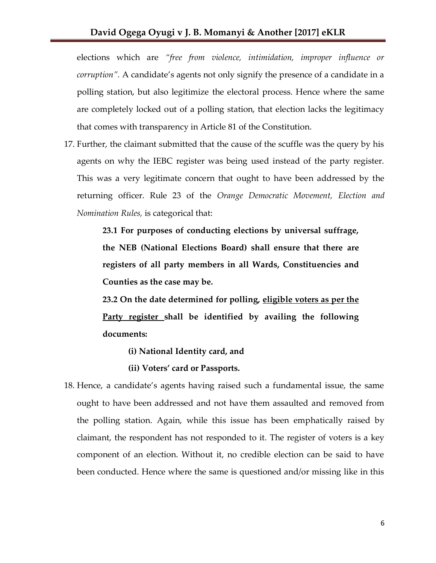elections which are *"free from violence, intimidation, improper influence or corruption".* A candidate's agents not only signify the presence of a candidate in a polling station, but also legitimize the electoral process. Hence where the same are completely locked out of a polling station, that election lacks the legitimacy that comes with transparency in Article 81 of the Constitution.

17. Further, the claimant submitted that the cause of the scuffle was the query by his agents on why the IEBC register was being used instead of the party register. This was a very legitimate concern that ought to have been addressed by the returning officer. Rule 23 of the *Orange Democratic Movement, Election and Nomination Rules,* is categorical that:

> **23.1 For purposes of conducting elections by universal suffrage, the NEB (National Elections Board) shall ensure that there are registers of all party members in all Wards, Constituencies and Counties as the case may be.**

> **23.2 On the date determined for polling, eligible voters as per the Party register shall be identified by availing the following documents:**

- **(i) National Identity card, and**
- **(ii) Voters' card or Passports.**
- 18. Hence, a candidate's agents having raised such a fundamental issue, the same ought to have been addressed and not have them assaulted and removed from the polling station. Again, while this issue has been emphatically raised by claimant, the respondent has not responded to it. The register of voters is a key component of an election. Without it, no credible election can be said to have been conducted. Hence where the same is questioned and/or missing like in this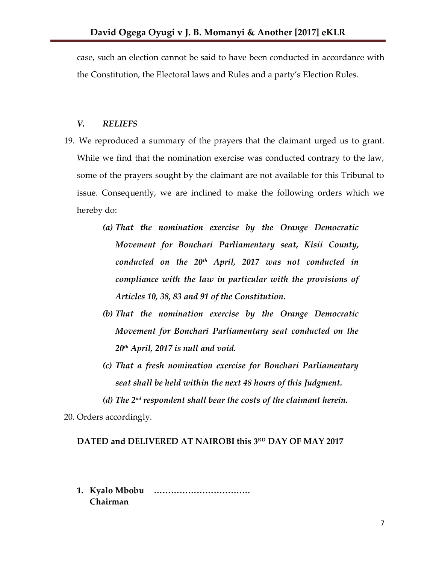case, such an election cannot be said to have been conducted in accordance with the Constitution, the Electoral laws and Rules and a party's Election Rules.

#### *V. RELIEFS*

- 19. We reproduced a summary of the prayers that the claimant urged us to grant. While we find that the nomination exercise was conducted contrary to the law, some of the prayers sought by the claimant are not available for this Tribunal to issue. Consequently, we are inclined to make the following orders which we hereby do:
	- *(a) That the nomination exercise by the Orange Democratic Movement for Bonchari Parliamentary seat, Kisii County, conducted on the 20th April, 2017 was not conducted in compliance with the law in particular with the provisions of Articles 10, 38, 83 and 91 of the Constitution.*
	- *(b) That the nomination exercise by the Orange Democratic Movement for Bonchari Parliamentary seat conducted on the 20th April, 2017 is null and void.*
	- *(c) That a fresh nomination exercise for Bonchari Parliamentary seat shall be held within the next 48 hours of this Judgment.*

*(d) The 2nd respondent shall bear the costs of the claimant herein.*

20. Orders accordingly.

### **DATED and DELIVERED AT NAIROBI this 3 RD DAY OF MAY 2017**

**1. Kyalo Mbobu ……………………………. Chairman**